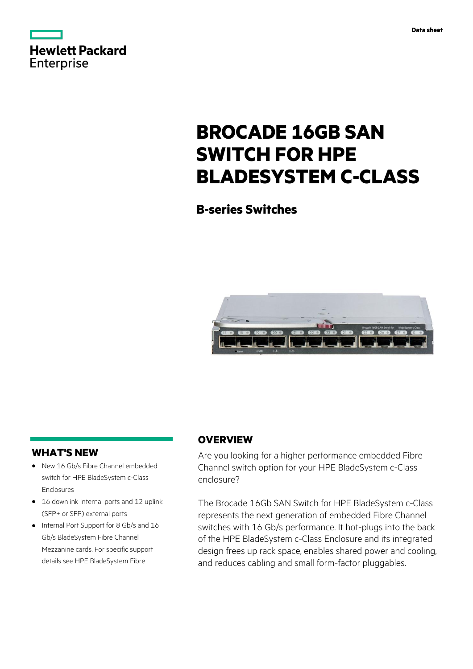

# **BROCADE 16GB SAN SWITCH FOR HPE BLADESYSTEM C-CLASS**

**B-series Switches**



# **WHAT'S NEW**

- **·** New 16 Gb/s Fibre Channel embedded switch for HPE BladeSystem c-Class Enclosures
- **·** 16 downlink Internal ports and 12 uplink (SFP+ or SFP) external ports
- **·** Internal Port Support for 8 Gb/s and 16 Gb/s BladeSystem Fibre Channel Mezzanine cards. For specific support details see HPE BladeSystem Fibre

# **OVERVIEW**

Are you looking for a higher performance embedded Fibre Channel switch option for your HPE BladeSystem c-Class enclosure?

The Brocade 16Gb SAN Switch for HPE BladeSystem c-Class represents the next generation of embedded Fibre Channel switches with 16 Gb/s performance. It hot-plugs into the back of the HPE BladeSystem c-Class Enclosure and its integrated design frees up rack space, enables shared power and cooling, and reduces cabling and small form-factor pluggables.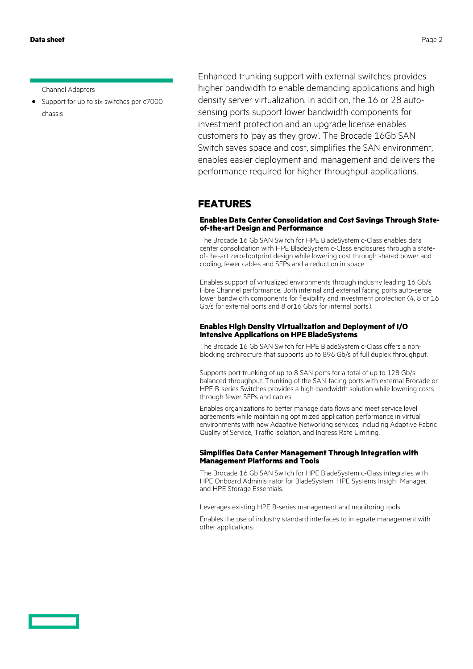**Data sheet** Page 2

Channel Adapters

**·** Support for up to six switches per c7000 chassis

Enhanced trunking support with external switches provides higher bandwidth to enable demanding applications and high density server virtualization. In addition, the 16 or 28 autosensing ports support lower bandwidth components for investment protection and an upgrade license enables customers to 'pay as they grow'. The Brocade 16Gb SAN Switch saves space and cost, simplifies the SAN environment, enables easier deployment and management and delivers the performance required for higher throughput applications.

## **FEATURES**

## **Enables Data Center Consolidation and Cost Savings Through Stateof-the-art Design and Performance**

The Brocade 16 Gb SAN Switch for HPE BladeSystem c-Class enables data center consolidation with HPE BladeSystem c-Class enclosures through a stateof-the-art zero-footprint design while lowering cost through shared power and cooling, fewer cables and SFPs and a reduction in space.

Enables support of virtualized environments through industry leading 16 Gb/s Fibre Channel performance. Both internal and external facing ports auto-sense lower bandwidth components for flexibility and investment protection (4, 8 or 16 Gb/s for external ports and 8 or16 Gb/s for internal ports).

### **Enables High Density Virtualization and Deployment of I/O Intensive Applications on HPE BladeSystems**

The Brocade 16 Gb SAN Switch for HPE BladeSystem c-Class offers a nonblocking architecture that supports up to 896 Gb/s of full duplex throughput.

Supports port trunking of up to 8 SAN ports for a total of up to 128 Gb/s balanced throughput. Trunking of the SAN-facing ports with external Brocade or HPE B-series Switches provides a high-bandwidth solution while lowering costs through fewer SFPs and cables.

Enables organizations to better manage data flows and meet service level agreements while maintaining optimized application performance in virtual environments with new Adaptive Networking services, including Adaptive Fabric Quality of Service, Traffic Isolation, and Ingress Rate Limiting.

### **Simplifies Data Center Management Through Integration with Management Platforms and Tools**

The Brocade 16 Gb SAN Switch for HPE BladeSystem c-Class integrates with HPE Onboard Administrator for BladeSystem, HPE Systems Insight Manager, and HPE Storage Essentials.

Leverages existing HPE B-series management and monitoring tools.

Enables the use of industry standard interfaces to integrate management with other applications.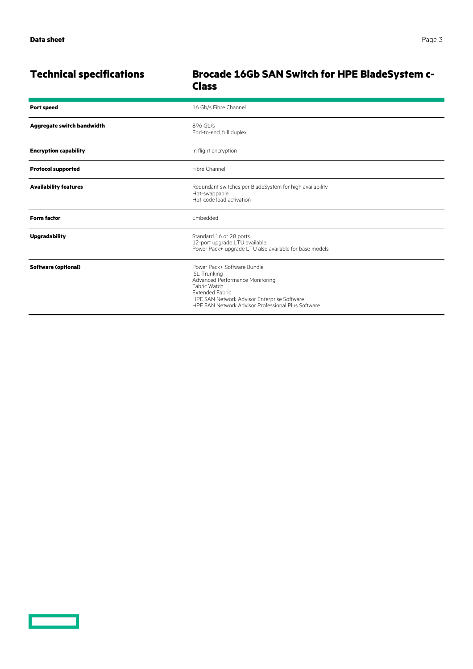$\overline{\phantom{0}}$ 

|                              | <b>Class</b>                                                                                                                                                                                                                         |
|------------------------------|--------------------------------------------------------------------------------------------------------------------------------------------------------------------------------------------------------------------------------------|
| <b>Port speed</b>            | 16 Gb/s Fibre Channel                                                                                                                                                                                                                |
| Aggregate switch bandwidth   | 896 Gb/s<br>End-to-end, full duplex                                                                                                                                                                                                  |
| <b>Encryption capability</b> | In flight encryption                                                                                                                                                                                                                 |
| <b>Protocol supported</b>    | Fibre Channel                                                                                                                                                                                                                        |
| <b>Availability features</b> | Redundant switches per BladeSystem for high availability<br>Hot-swappable<br>Hot-code load activation                                                                                                                                |
| <b>Form factor</b>           | Embedded                                                                                                                                                                                                                             |
| <b>Upgradability</b>         | Standard 16 or 28 ports<br>12-port upgrade LTU available<br>Power Pack+ upgrade LTU also available for base models                                                                                                                   |
| <b>Software (optional)</b>   | Power Pack+ Software Bundle<br><b>ISL Trunking</b><br>Advanced Performance Monitoring<br>Fabric Watch<br><b>Extended Fabric</b><br>HPE SAN Network Advisor Enterprise Software<br>HPE SAN Network Advisor Professional Plus Software |

# **Technical specifications Brocade 16Gb SAN Switch for HPE BladeSystem c-**